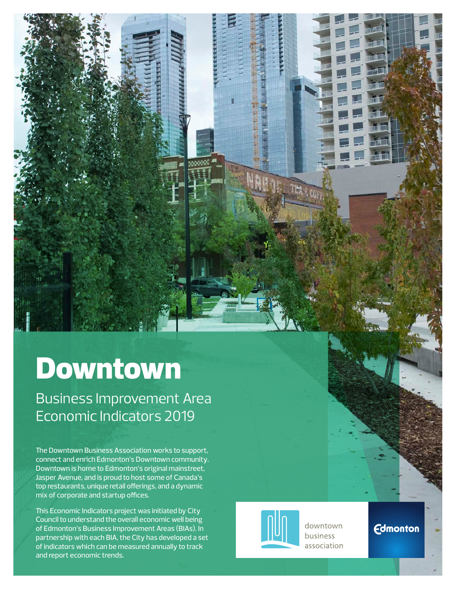# Downtown

Business Improvement Area Economic Indicators 2019

The Downtown Business Association works to support, connect and enrich Edmonton's Downtown community. Downtown is home to Edmonton's original mainstreet, Jasper Avenue, and is proud to host some of Canada's top restaurants, unique retail offerings, and a dynamic mix of corporate and startup offices.

This Economic Indicators project was initiated by City Council to understand the overall economic well being of Edmonton's Business Improvement Areas (BIAs). In partnership with each BIA, the City has developed a set of indicators which can be measured annually to track and report economic trends.



downtown **business** association

THA & CULT

**Edmonton**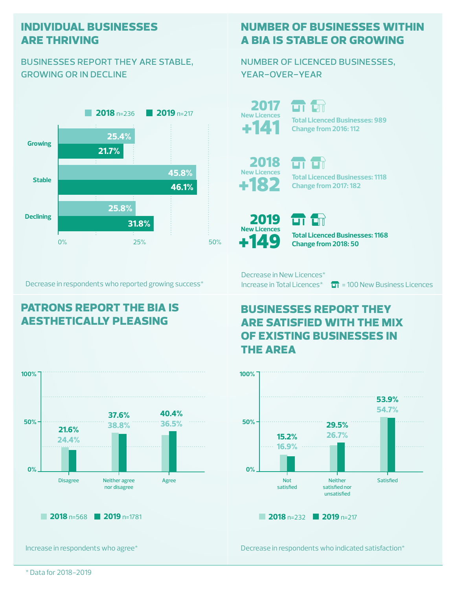#### **individual businesses are thriving**

#### businesses report they are stable, growing or in decline



Decrease in respondents who reported growing success\*

## **patrons report the bia is aesthetically pleasing**



Increase in respondents who agree\*

### **number of businesses within a bia is stable or growing**

number of licenced businesses, year-over-year

2017 **New Licences**

பட **Total Licenced Businesses: 989** +141 **Change from 2016: 112**

**Total Licenced Businesses: 1118**

**Change from 2017: 182**

+182 2018 **New Licences**



பா **Total Licenced Businesses: 1168 Change from 2018: 50**

Decrease in New Licences\*

ūТ.

Increase in Total Licences<sup>\*</sup>  $\overline{H}$  = 100 New Business Licences

### **businesses report they are satisfied with the mix of existing businesses in the area**



Decrease in respondents who indicated satisfaction\*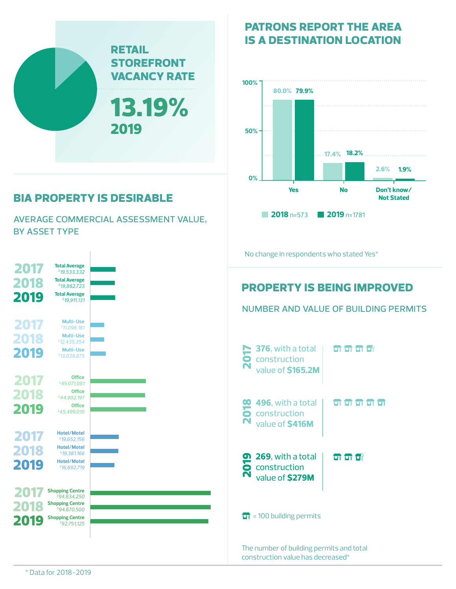

## **bia property is desirable**

average commercial assessment value, by asset type



**patrons report the area is a destination location**